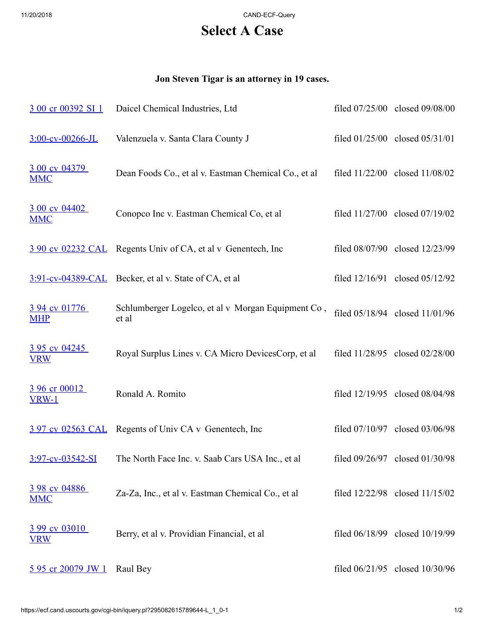11/20/2018 CAND-ECF-Query

## **Select A Case**

## **Jon Steven Tigar is an attorney in 19 cases.**

| 3 00 cr 00392 SI 1                 | Daicel Chemical Industries, Ltd                              | filed 07/25/00 closed 09/08/00     |
|------------------------------------|--------------------------------------------------------------|------------------------------------|
| 3:00-cv-00266-JL                   | Valenzuela v. Santa Clara County J                           | filed 01/25/00 closed 05/31/01     |
| 3 00 cv 04379<br><b>MMC</b>        | Dean Foods Co., et al v. Eastman Chemical Co., et al         | filed 11/22/00 closed 11/08/02     |
| 3 00 cv 04402<br><b>MMC</b>        | Conopco Inc v. Eastman Chemical Co, et al                    | filed 11/27/00 closed 07/19/02     |
|                                    | 3 90 cv 02232 CAL Regents Univ of CA, et al v Genentech, Inc | filed 08/07/90 closed 12/23/99     |
|                                    | 3:91-cv-04389-CAL Becker, et al v. State of CA, et al        | filed 12/16/91 closed 05/12/92     |
| 3 94 cv 01776<br><b>MHP</b>        | Schlumberger Logelco, et al v Morgan Equipment Co,<br>et al  | filed 05/18/94 closed 11/01/96     |
| <u>3 95 cv 04245</u><br><b>VRW</b> | Royal Surplus Lines v. CA Micro DevicesCorp, et al           | filed $11/28/95$ closed $02/28/00$ |
| 3 96 cr 00012<br><b>VRW-1</b>      | Ronald A. Romito                                             | filed 12/19/95 closed 08/04/98     |
|                                    | 3 97 cv 02563 CAL Regents of Univ CA v Genentech, Inc        | filed 07/10/97 closed 03/06/98     |
| 3:97-cv-03542-SI                   | The North Face Inc. v. Saab Cars USA Inc., et al             | filed 09/26/97 closed 01/30/98     |
| 3 98 cv 04886<br><u>MMC</u>        | Za-Za, Inc., et al v. Eastman Chemical Co., et al            | filed 12/22/98 closed 11/15/02     |
| 3 99 cv 03010<br><u>VRW</u>        | Berry, et al v. Providian Financial, et al                   | filed 06/18/99 closed 10/19/99     |
| 5 95 cr 20079 JW 1                 | Raul Bey                                                     | filed 06/21/95 closed 10/30/96     |